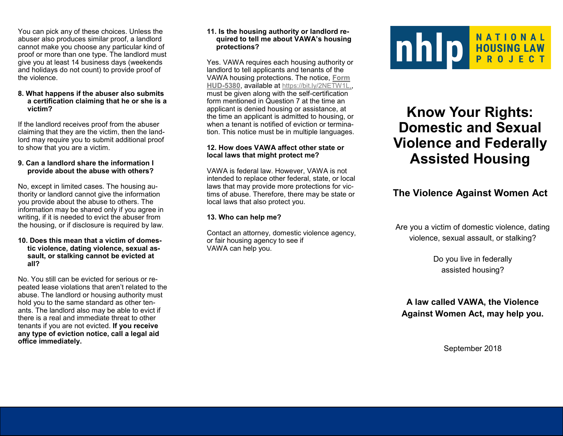You can pick any of these choices. Unless the abuser also produces similar proof, a landlord cannot make you choose any particular kind of proof or more than one type. The landlord must give you at least 14 business days (weekends and holidays do not count) to provide proof of the violence.

#### **8. What happens if the abuser also submits a certification claiming that he or she is a victim?**

If the landlord receives proof from the abuser claiming that they are the victim, then the landlord may require you to submit additional proof to show that you are a victim.

### **9. Can a landlord share the information I provide about the abuse with others?**

No, except in limited cases. The housing authority or landlord cannot give the information you provide about the abuse to others. The information may be shared only if you agree in writing, if it is needed to evict the abuser from the housing, or if disclosure is required by law.

#### **10. Does this mean that a victim of domestic violence, dating violence, sexual assault, or stalking cannot be evicted at all?**

No. You still can be evicted for serious or repeated lease violations that aren't related to the abuse. The landlord or housing authority must hold you to the same standard as other tenants. The landlord also may be able to evict if there is a real and immediate threat to other tenants if you are not evicted. **If you receive any type of eviction notice, call a legal aid office immediately.**

### **11. Is the housing authority or landlord required to tell me about VAWA's housing protections?**

Yes. VAWA requires each housing authority or landlord to tell applicants and tenants of the VAWA housing protections. The notice, **[Form](https://www.hud.gov/sites/documents/VAWA-APDIXA-NOTICEOCRIGHT.DOCX)  HUD-[5380](https://www.hud.gov/sites/documents/VAWA-APDIXA-NOTICEOCRIGHT.DOCX)**, available at [https://bit.ly/2NETW1L,](https://bit.ly/2NETW1L), must be given along with the self-certification form mentioned in Question 7 at the time an applicant is denied housing or assistance, at the time an applicant is admitted to housing, or when a tenant is notified of eviction or termination. This notice must be in multiple languages.

## **12. How does VAWA affect other state or local laws that might protect me?**

VAWA is federal law. However, VAWA is not intended to replace other federal, state, or local laws that may provide more protections for victims of abuse. Therefore, there may be state or local laws that also protect you.

# **13. Who can help me?**

Contact an attorney, domestic violence agency, or fair housing agency to see if VAWA can help you.



# **Know Your Rights: Domestic and Sexual Violence and Federally Assisted Housing**

# **The Violence Against Women Act**

Are you a victim of domestic violence, dating violence, sexual assault, or stalking?

> Do you live in federally assisted housing?

**A law called VAWA, the Violence Against Women Act, may help you.** 

September 2018